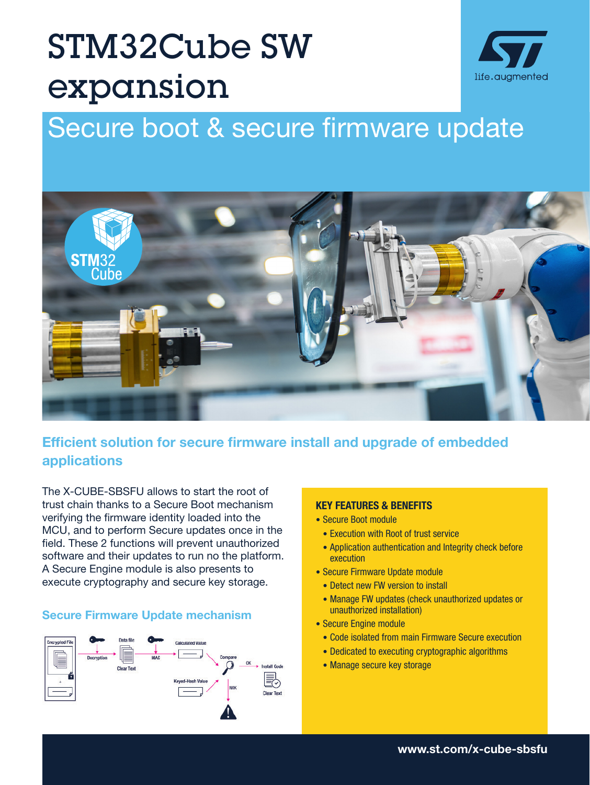# STM32Cube SW expansion



# Secure boot & secure firmware update



# Efficient solution for secure firmware install and upgrade of embedded applications

The X-CUBE-SBSFU allows to start the root of trust chain thanks to a Secure Boot mechanism verifying the firmware identity loaded into the MCU, and to perform Secure updates once in the field. These 2 functions will prevent unauthorized software and their updates to run no the platform. A Secure Engine module is also presents to execute cryptography and secure key storage.

#### Secure Firmware Update mechanism



#### KEY FEATURES & BENEFITS

- Secure Boot module
- Execution with Root of trust service
- Application authentication and Integrity check before execution
- Secure Firmware Update module
- Detect new FW version to install
- Manage FW updates (check unauthorized updates or unauthorized installation)
- Secure Engine module
	- Code isolated from main Firmware Secure execution
	- Dedicated to executing cryptographic algorithms
	- Manage secure key storage